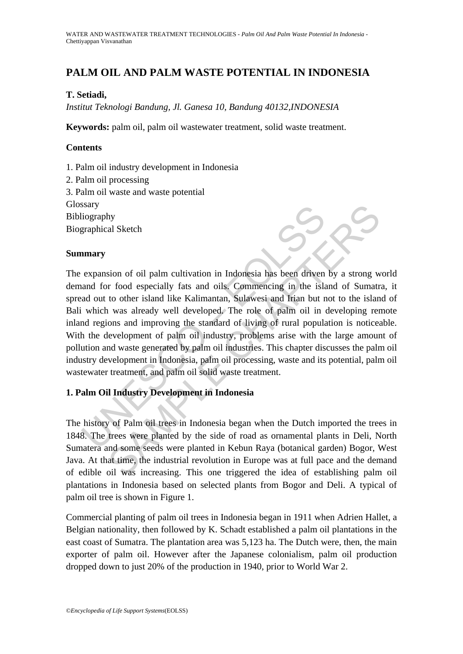# **PALM OIL AND PALM WASTE POTENTIAL IN INDONESIA**

### **T. Setiadi,**

*Institut Teknologi Bandung, Jl. Ganesa 10, Bandung 40132,INDONESIA* 

**Keywords:** palm oil, palm oil wastewater treatment, solid waste treatment.

#### **Contents**

- 1. Palm oil industry development in Indonesia
- 2. Palm oil processing
- 3. Palm oil waste and waste potential

**Glossary** 

Bibliography

Biographical Sketch

#### **Summary**

Stary<br>
iography<br>
expansion of oil palm cultivation in Indonesia has been driven<br>
and for food especially fats and oils. Commencing in the isla<br>
ad out to other island like Kalimantan, Sulawesi and Irian but r<br>
which was al Mana Sketch<br>
and Sketch<br>
and Sketch<br>
and Sketch<br>
and Sketch<br>
and Sketch<br>
and Sketch<br>
and Sketch<br>
and Sketch<br>
in Mana dike Kalimantan, Sulawesi and Irian but not to the island<br>
in was already well developed. The role of pal The expansion of oil palm cultivation in Indonesia has been driven by a strong world demand for food especially fats and oils. Commencing in the island of Sumatra, it spread out to other island like Kalimantan, Sulawesi and Irian but not to the island of Bali which was already well developed. The role of palm oil in developing remote inland regions and improving the standard of living of rural population is noticeable. With the development of palm oil industry, problems arise with the large amount of pollution and waste generated by palm oil industries. This chapter discusses the palm oil industry development in Indonesia, palm oil processing, waste and its potential, palm oil wastewater treatment, and palm oil solid waste treatment.

### **1. Palm Oil Industry Development in Indonesia**

The history of Palm oil trees in Indonesia began when the Dutch imported the trees in 1848. The trees were planted by the side of road as ornamental plants in Deli, North Sumatera and some seeds were planted in Kebun Raya (botanical garden) Bogor, West Java. At that time, the industrial revolution in Europe was at full pace and the demand of edible oil was increasing. This one triggered the idea of establishing palm oil plantations in Indonesia based on selected plants from Bogor and Deli. A typical of palm oil tree is shown in Figure 1.

Commercial planting of palm oil trees in Indonesia began in 1911 when Adrien Hallet, a Belgian nationality, then followed by K. Schadt established a palm oil plantations in the east coast of Sumatra. The plantation area was 5,123 ha. The Dutch were, then, the main exporter of palm oil. However after the Japanese colonialism, palm oil production dropped down to just 20% of the production in 1940, prior to World War 2.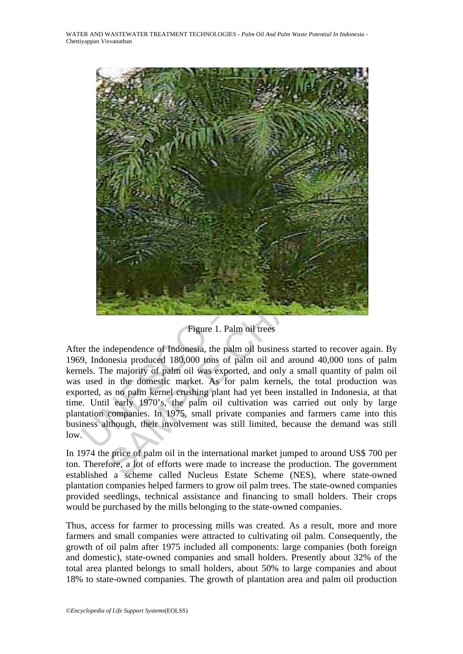

Figure 1. Palm oil trees

After the independence of Indonesia, the palm oil business started to recover again. By 1969, Indonesia produced 180,000 tons of palm oil and around 40,000 tons of palm kernels. The majority of palm oil was exported, and only a small quantity of palm oil was used in the domestic market. As for palm kernels, the total production was exported, as no palm kernel crushing plant had yet been installed in Indonesia, at that time. Until early 1970's, the palm oil cultivation was carried out only by large plantation companies. In 1975, small private companies and farmers came into this business although, their involvement was still limited, because the demand was still low.

In 1974 the price of palm oil in the international market jumped to around US\$ 700 per ton. Therefore, a lot of efforts were made to increase the production. The government established a scheme called Nucleus Estate Scheme (NES), where state-owned plantation companies helped farmers to grow oil palm trees. The state-owned companies provided seedlings, technical assistance and financing to small holders. Their crops would be purchased by the mills belonging to the state-owned companies.

Thus, access for farmer to processing mills was created. As a result, more and more farmers and small companies were attracted to cultivating oil palm. Consequently, the growth of oil palm after 1975 included all components: large companies (both foreign and domestic), state-owned companies and small holders. Presently about 32% of the total area planted belongs to small holders, about 50% to large companies and about 18% to state-owned companies. The growth of plantation area and palm oil production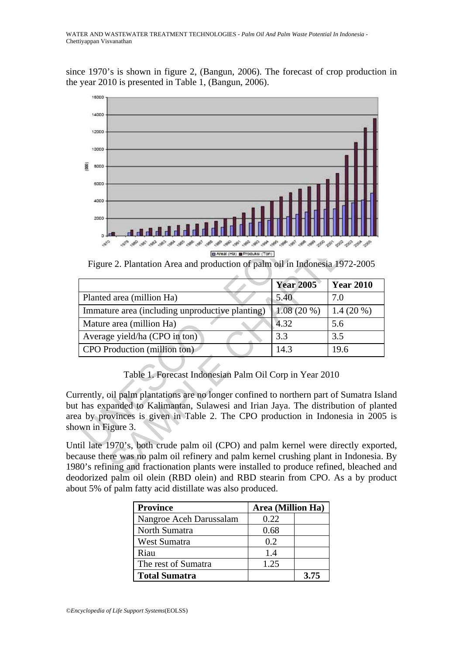since 1970's is shown in figure 2, (Bangun, 2006). The forecast of crop production in the year 2010 is presented in Table 1, (Bangun, 2006).



Figure 2. Plantation Area and production of palm oil in Indonesia 1972-2005

| 2000<br><u>A Ha Ha Ha Ha Ha Ha</u><br>El Areal (Ha) EProduksi (Ton)<br>Figure 2. Plantation Area and production of palm oil in Indonesia 1972-2005                                                                                                                                                                                                                                       |                  |                  |
|------------------------------------------------------------------------------------------------------------------------------------------------------------------------------------------------------------------------------------------------------------------------------------------------------------------------------------------------------------------------------------------|------------------|------------------|
|                                                                                                                                                                                                                                                                                                                                                                                          | <b>Year 2005</b> | <b>Year 2010</b> |
| Planted area (million Ha)                                                                                                                                                                                                                                                                                                                                                                | 5.40             | 7.0              |
| Immature area (including unproductive planting)                                                                                                                                                                                                                                                                                                                                          | 1.08(20%         | $1.4(20\%)$      |
| Mature area (million Ha)                                                                                                                                                                                                                                                                                                                                                                 | 4.32             | 5.6              |
| Average yield/ha (CPO in ton)                                                                                                                                                                                                                                                                                                                                                            | 3.3              | 3.5              |
| CPO Production (million ton)                                                                                                                                                                                                                                                                                                                                                             | 14.3             | 19.6             |
| Table 1. Forecast Indonesian Palm Oil Corp in Year 2010<br>rrently, oil palm plantations are no longer confined to northern part of Sumatra Isl<br>t has expanded to Kalimantan, Sulawesi and Irian Jaya. The distribution of plan<br>a by provinces is given in Table 2. The CPO production in Indonesia in 2005<br>own in Figure 3.                                                    |                  |                  |
| itil late 1970's, both crude palm oil (CPO) and palm kernel were directly export<br>cause there was no palm oil refinery and palm kernel crushing plant in Indonesia.<br>80's refining and fractionation plants were installed to produce refined, bleached<br>$\alpha$ and $\alpha$ and $\alpha$ and $\alpha$ (DDD $\alpha$ and DDD $\alpha$ to $\alpha$ from CDO $\alpha$ and $\alpha$ |                  |                  |

## Table 1. Forecast Indonesian Palm Oil Corp in Year 2010

Currently, oil palm plantations are no longer confined to northern part of Sumatra Island but has expanded to Kalimantan, Sulawesi and Irian Jaya. The distribution of planted area by provinces is given in Table 2. The CPO production in Indonesia in 2005 is shown in Figure 3.

Until late 1970's, both crude palm oil (CPO) and palm kernel were directly exported, because there was no palm oil refinery and palm kernel crushing plant in Indonesia. By 1980's refining and fractionation plants were installed to produce refined, bleached and deodorized palm oil olein (RBD olein) and RBD stearin from CPO. As a by product about 5% of palm fatty acid distillate was also produced.

| <b>Province</b>         | Area (Million Ha) |      |
|-------------------------|-------------------|------|
| Nangroe Aceh Darussalam | 0.22              |      |
| North Sumatra           | 0.68              |      |
| West Sumatra            | 0.2               |      |
| Riau                    | 1.4               |      |
| The rest of Sumatra     | 1.25              |      |
| <b>Total Sumatra</b>    |                   | 3.75 |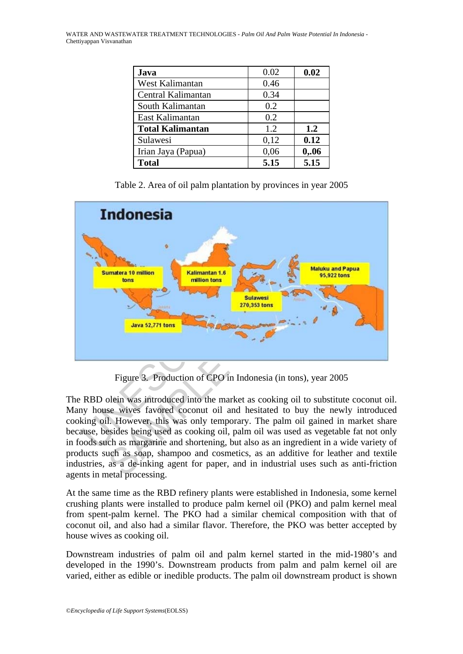WATER AND WASTEWATER TREATMENT TECHNOLOGIES - *Palm Oil And Palm Waste Potential In Indonesia* - Chettiyappan Visvanathan

| Java                    | 0.02 | 0.02 |
|-------------------------|------|------|
| West Kalimantan         | 0.46 |      |
| Central Kalimantan      | 0.34 |      |
| South Kalimantan        | 0.2  |      |
| East Kalimantan         | 0.2  |      |
| <b>Total Kalimantan</b> | 1.2  | 1.2  |
| Sulawesi                | 0,12 | 0.12 |
| Irian Jaya (Papua)      | 0,06 | 0,06 |
| <b>Total</b>            | 5.15 | 5.15 |

Table 2. Area of oil palm plantation by provinces in year 2005



Figure 3. Production of CPO in Indonesia (in tons), year 2005

The RBD olein was introduced into the market as cooking oil to substitute coconut oil. Many house wives favored coconut oil and hesitated to buy the newly introduced cooking oil. However, this was only temporary. The palm oil gained in market share because, besides being used as cooking oil, palm oil was used as vegetable fat not only in foods such as margarine and shortening, but also as an ingredient in a wide variety of products such as soap, shampoo and cosmetics, as an additive for leather and textile industries, as a de-inking agent for paper, and in industrial uses such as anti-friction agents in metal processing.

At the same time as the RBD refinery plants were established in Indonesia, some kernel crushing plants were installed to produce palm kernel oil (PKO) and palm kernel meal from spent-palm kernel. The PKO had a similar chemical composition with that of coconut oil, and also had a similar flavor. Therefore, the PKO was better accepted by house wives as cooking oil.

Downstream industries of palm oil and palm kernel started in the mid-1980's and developed in the 1990's. Downstream products from palm and palm kernel oil are varied, either as edible or inedible products. The palm oil downstream product is shown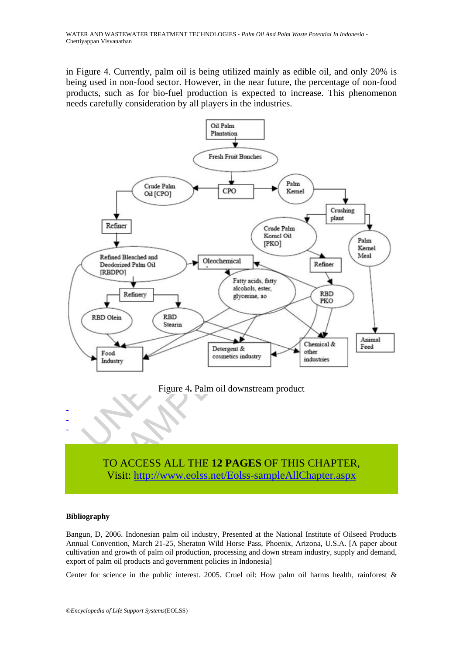in Figure 4. Currently, palm oil is being utilized mainly as edible oil, and only 20% is being used in non-food sector. However, in the near future, the percentage of non-food products, such as for bio-fuel production is expected to increase. This phenomenon needs carefully consideration by all players in the industries.



TO ACCESS ALL THE **12 PAGES** OF THIS CHAPTER, Visit: http://www.eolss.net/Eolss-sampleAllChapter.aspx

#### **Bibliography**

Bangun, D, 2006. Indonesian palm oil industry, Presented at the National Institute of Oilseed Products Annual Convention, March 21-25, Sheraton Wild Horse Pass, Phoenix, Arizona, U.S.A. [A paper about cultivation and growth of palm oil production, processing and down stream industry, supply and demand, export of palm oil products and government policies in Indonesia]

Center for science in the public interest. 2005. Cruel oil: How palm oil harms health, rainforest &